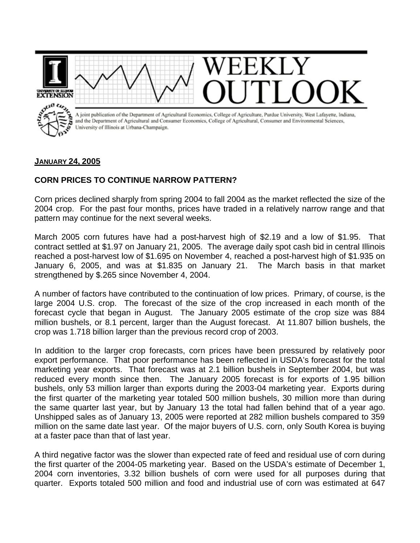

## **JANUARY 24, 2005**

## **CORN PRICES TO CONTINUE NARROW PATTERN?**

Corn prices declined sharply from spring 2004 to fall 2004 as the market reflected the size of the 2004 crop. For the past four months, prices have traded in a relatively narrow range and that pattern may continue for the next several weeks.

March 2005 corn futures have had a post-harvest high of \$2.19 and a low of \$1.95. That contract settled at \$1.97 on January 21, 2005. The average daily spot cash bid in central Illinois reached a post-harvest low of \$1.695 on November 4, reached a post-harvest high of \$1.935 on January 6, 2005, and was at \$1.835 on January 21. The March basis in that market strengthened by \$.265 since November 4, 2004.

A number of factors have contributed to the continuation of low prices. Primary, of course, is the large 2004 U.S. crop. The forecast of the size of the crop increased in each month of the forecast cycle that began in August. The January 2005 estimate of the crop size was 884 million bushels, or 8.1 percent, larger than the August forecast. At 11.807 billion bushels, the crop was 1.718 billion larger than the previous record crop of 2003.

In addition to the larger crop forecasts, corn prices have been pressured by relatively poor export performance. That poor performance has been reflected in USDA's forecast for the total marketing year exports. That forecast was at 2.1 billion bushels in September 2004, but was reduced every month since then. The January 2005 forecast is for exports of 1.95 billion bushels, only 53 million larger than exports during the 2003-04 marketing year. Exports during the first quarter of the marketing year totaled 500 million bushels, 30 million more than during the same quarter last year, but by January 13 the total had fallen behind that of a year ago. Unshipped sales as of January 13, 2005 were reported at 282 million bushels compared to 359 million on the same date last year. Of the major buyers of U.S. corn, only South Korea is buying at a faster pace than that of last year.

A third negative factor was the slower than expected rate of feed and residual use of corn during the first quarter of the 2004-05 marketing year. Based on the USDA's estimate of December 1, 2004 corn inventories, 3.32 billion bushels of corn were used for all purposes during that quarter. Exports totaled 500 million and food and industrial use of corn was estimated at 647